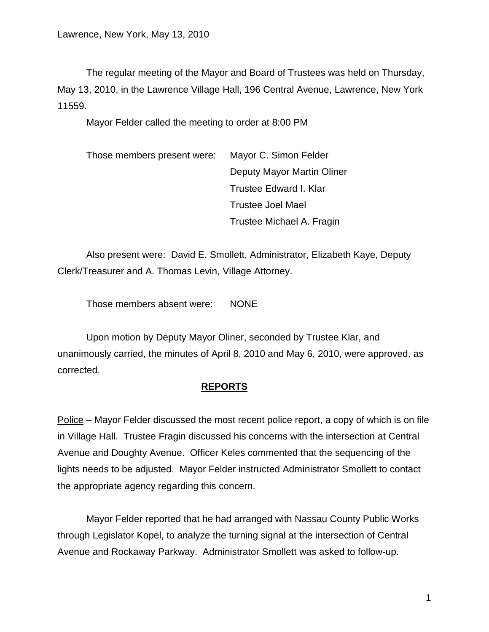The regular meeting of the Mayor and Board of Trustees was held on Thursday, May 13, 2010, in the Lawrence Village Hall, 196 Central Avenue, Lawrence, New York 11559.

Mayor Felder called the meeting to order at 8:00 PM

| Those members present were: | Mayor C. Simon Felder      |
|-----------------------------|----------------------------|
|                             | Deputy Mayor Martin Oliner |
|                             | Trustee Edward I. Klar     |
|                             | <b>Trustee Joel Mael</b>   |
|                             | Trustee Michael A. Fragin  |

Also present were: David E. Smollett, Administrator, Elizabeth Kaye, Deputy Clerk/Treasurer and A. Thomas Levin, Village Attorney.

Those members absent were: NONE

Upon motion by Deputy Mayor Oliner, seconded by Trustee Klar, and unanimously carried, the minutes of April 8, 2010 and May 6, 2010, were approved, as corrected.

## **REPORTS**

Police – Mayor Felder discussed the most recent police report, a copy of which is on file in Village Hall. Trustee Fragin discussed his concerns with the intersection at Central Avenue and Doughty Avenue. Officer Keles commented that the sequencing of the lights needs to be adjusted. Mayor Felder instructed Administrator Smollett to contact the appropriate agency regarding this concern.

Mayor Felder reported that he had arranged with Nassau County Public Works through Legislator Kopel, to analyze the turning signal at the intersection of Central Avenue and Rockaway Parkway. Administrator Smollett was asked to follow-up.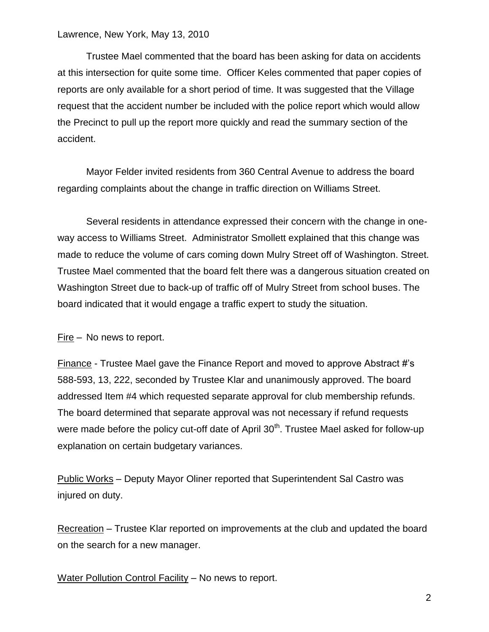Trustee Mael commented that the board has been asking for data on accidents at this intersection for quite some time. Officer Keles commented that paper copies of reports are only available for a short period of time. It was suggested that the Village request that the accident number be included with the police report which would allow the Precinct to pull up the report more quickly and read the summary section of the accident.

Mayor Felder invited residents from 360 Central Avenue to address the board regarding complaints about the change in traffic direction on Williams Street.

Several residents in attendance expressed their concern with the change in oneway access to Williams Street. Administrator Smollett explained that this change was made to reduce the volume of cars coming down Mulry Street off of Washington. Street. Trustee Mael commented that the board felt there was a dangerous situation created on Washington Street due to back-up of traffic off of Mulry Street from school buses. The board indicated that it would engage a traffic expert to study the situation.

Fire – No news to report.

Finance - Trustee Mael gave the Finance Report and moved to approve Abstract #'s 588-593, 13, 222, seconded by Trustee Klar and unanimously approved. The board addressed Item #4 which requested separate approval for club membership refunds. The board determined that separate approval was not necessary if refund requests were made before the policy cut-off date of April 30<sup>th</sup>. Trustee Mael asked for follow-up explanation on certain budgetary variances.

Public Works – Deputy Mayor Oliner reported that Superintendent Sal Castro was injured on duty.

Recreation – Trustee Klar reported on improvements at the club and updated the board on the search for a new manager.

Water Pollution Control Facility – No news to report.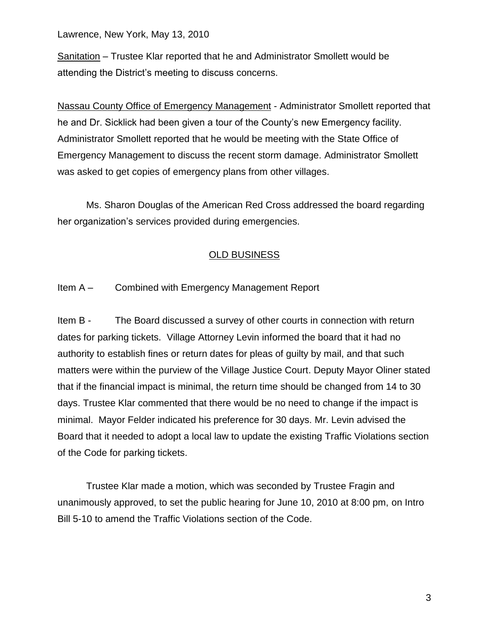Sanitation – Trustee Klar reported that he and Administrator Smollett would be attending the District's meeting to discuss concerns.

Nassau County Office of Emergency Management - Administrator Smollett reported that he and Dr. Sicklick had been given a tour of the County's new Emergency facility. Administrator Smollett reported that he would be meeting with the State Office of Emergency Management to discuss the recent storm damage. Administrator Smollett was asked to get copies of emergency plans from other villages.

Ms. Sharon Douglas of the American Red Cross addressed the board regarding her organization's services provided during emergencies.

# OLD BUSINESS

Item A – Combined with Emergency Management Report

Item B - The Board discussed a survey of other courts in connection with return dates for parking tickets. Village Attorney Levin informed the board that it had no authority to establish fines or return dates for pleas of guilty by mail, and that such matters were within the purview of the Village Justice Court. Deputy Mayor Oliner stated that if the financial impact is minimal, the return time should be changed from 14 to 30 days. Trustee Klar commented that there would be no need to change if the impact is minimal. Mayor Felder indicated his preference for 30 days. Mr. Levin advised the Board that it needed to adopt a local law to update the existing Traffic Violations section of the Code for parking tickets.

Trustee Klar made a motion, which was seconded by Trustee Fragin and unanimously approved, to set the public hearing for June 10, 2010 at 8:00 pm, on Intro Bill 5-10 to amend the Traffic Violations section of the Code.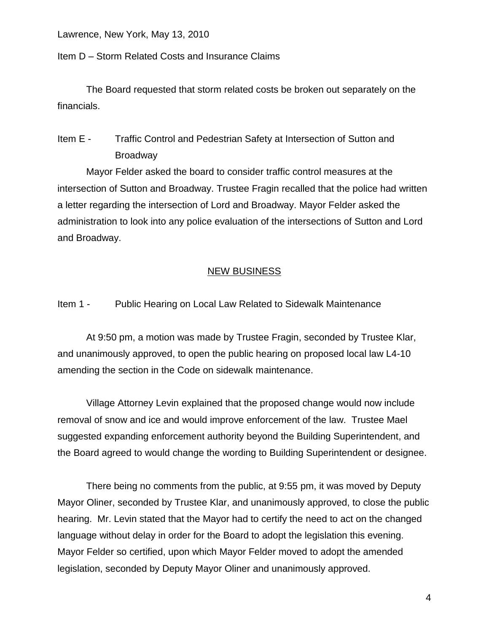Item D – Storm Related Costs and Insurance Claims

The Board requested that storm related costs be broken out separately on the financials.

Item E - Traffic Control and Pedestrian Safety at Intersection of Sutton and Broadway

Mayor Felder asked the board to consider traffic control measures at the intersection of Sutton and Broadway. Trustee Fragin recalled that the police had written a letter regarding the intersection of Lord and Broadway. Mayor Felder asked the administration to look into any police evaluation of the intersections of Sutton and Lord and Broadway.

## NEW BUSINESS

Item 1 - Public Hearing on Local Law Related to Sidewalk Maintenance

At 9:50 pm, a motion was made by Trustee Fragin, seconded by Trustee Klar, and unanimously approved, to open the public hearing on proposed local law L4-10 amending the section in the Code on sidewalk maintenance.

Village Attorney Levin explained that the proposed change would now include removal of snow and ice and would improve enforcement of the law. Trustee Mael suggested expanding enforcement authority beyond the Building Superintendent, and the Board agreed to would change the wording to Building Superintendent or designee.

There being no comments from the public, at 9:55 pm, it was moved by Deputy Mayor Oliner, seconded by Trustee Klar, and unanimously approved, to close the public hearing. Mr. Levin stated that the Mayor had to certify the need to act on the changed language without delay in order for the Board to adopt the legislation this evening. Mayor Felder so certified, upon which Mayor Felder moved to adopt the amended legislation, seconded by Deputy Mayor Oliner and unanimously approved.

4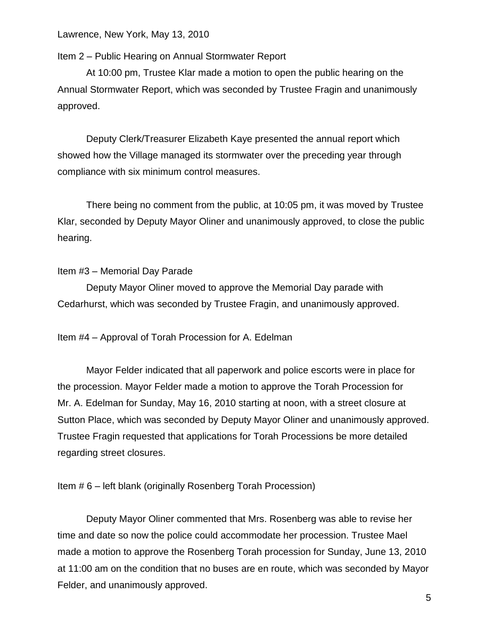Item 2 – Public Hearing on Annual Stormwater Report

At 10:00 pm, Trustee Klar made a motion to open the public hearing on the Annual Stormwater Report, which was seconded by Trustee Fragin and unanimously approved.

Deputy Clerk/Treasurer Elizabeth Kaye presented the annual report which showed how the Village managed its stormwater over the preceding year through compliance with six minimum control measures.

There being no comment from the public, at 10:05 pm, it was moved by Trustee Klar, seconded by Deputy Mayor Oliner and unanimously approved, to close the public hearing.

#### Item #3 – Memorial Day Parade

Deputy Mayor Oliner moved to approve the Memorial Day parade with Cedarhurst, which was seconded by Trustee Fragin, and unanimously approved.

Item #4 – Approval of Torah Procession for A. Edelman

Mayor Felder indicated that all paperwork and police escorts were in place for the procession. Mayor Felder made a motion to approve the Torah Procession for Mr. A. Edelman for Sunday, May 16, 2010 starting at noon, with a street closure at Sutton Place, which was seconded by Deputy Mayor Oliner and unanimously approved. Trustee Fragin requested that applications for Torah Processions be more detailed regarding street closures.

Item # 6 – left blank (originally Rosenberg Torah Procession)

Deputy Mayor Oliner commented that Mrs. Rosenberg was able to revise her time and date so now the police could accommodate her procession. Trustee Mael made a motion to approve the Rosenberg Torah procession for Sunday, June 13, 2010 at 11:00 am on the condition that no buses are en route, which was seconded by Mayor Felder, and unanimously approved.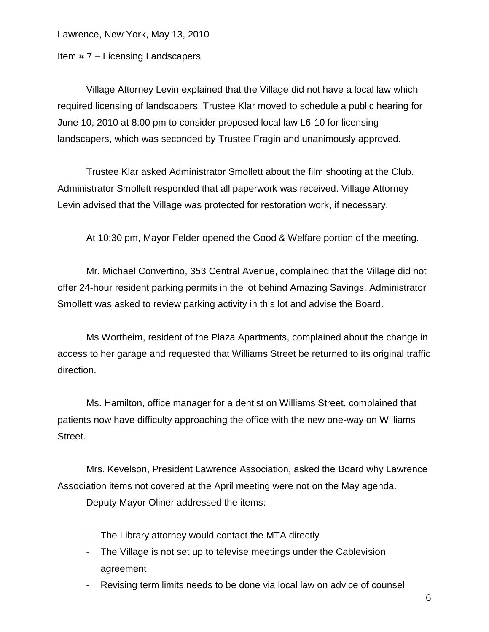Item # 7 – Licensing Landscapers

Village Attorney Levin explained that the Village did not have a local law which required licensing of landscapers. Trustee Klar moved to schedule a public hearing for June 10, 2010 at 8:00 pm to consider proposed local law L6-10 for licensing landscapers, which was seconded by Trustee Fragin and unanimously approved.

Trustee Klar asked Administrator Smollett about the film shooting at the Club. Administrator Smollett responded that all paperwork was received. Village Attorney Levin advised that the Village was protected for restoration work, if necessary.

At 10:30 pm, Mayor Felder opened the Good & Welfare portion of the meeting.

Mr. Michael Convertino, 353 Central Avenue, complained that the Village did not offer 24-hour resident parking permits in the lot behind Amazing Savings. Administrator Smollett was asked to review parking activity in this lot and advise the Board.

Ms Wortheim, resident of the Plaza Apartments, complained about the change in access to her garage and requested that Williams Street be returned to its original traffic direction.

Ms. Hamilton, office manager for a dentist on Williams Street, complained that patients now have difficulty approaching the office with the new one-way on Williams Street.

Mrs. Kevelson, President Lawrence Association, asked the Board why Lawrence Association items not covered at the April meeting were not on the May agenda.

Deputy Mayor Oliner addressed the items:

- The Library attorney would contact the MTA directly
- The Village is not set up to televise meetings under the Cablevision agreement
- Revising term limits needs to be done via local law on advice of counsel